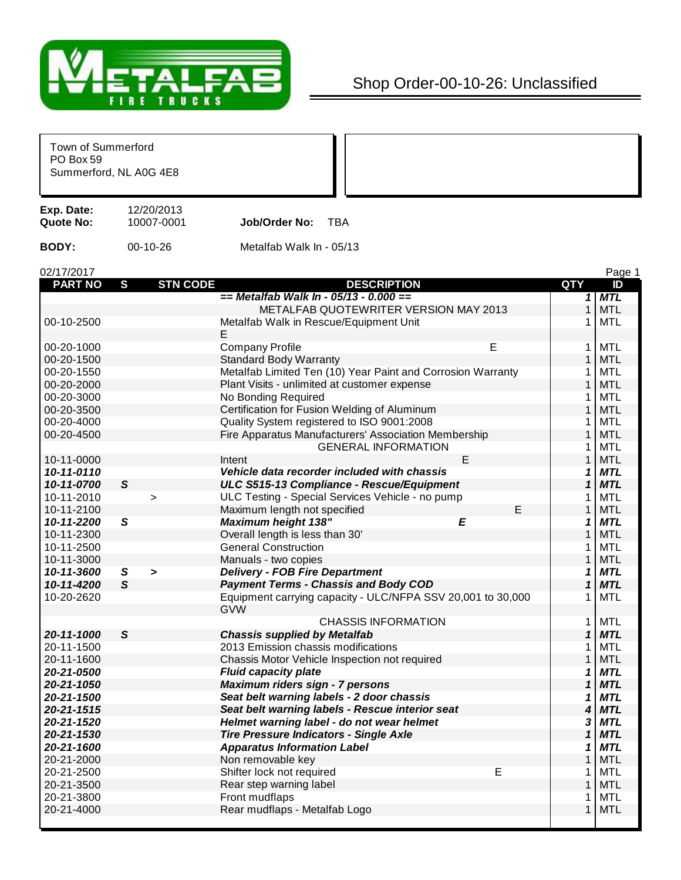

## Shop Order-00-10-26: Unclassified

| Town of Summerford<br>PO Box 59<br>Summerford, NL A0G 4E8 |              |                          |                                                             |              |            |
|-----------------------------------------------------------|--------------|--------------------------|-------------------------------------------------------------|--------------|------------|
| Exp. Date:<br><b>Quote No:</b>                            |              | 12/20/2013<br>10007-0001 | <b>TBA</b><br>Job/Order No:                                 |              |            |
| <b>BODY:</b>                                              |              | $00-10-26$               | Metalfab Walk In - 05/13                                    |              |            |
| 02/17/2017                                                |              |                          |                                                             |              | Page 1     |
| <b>PART NO</b>                                            | S            | <b>STN CODE</b>          | <b>DESCRIPTION</b>                                          | QTY          | ID         |
|                                                           |              |                          | $==$ Metalfab Walk In - 05/13 - 0.000 ==                    | $\mathbf{1}$ | <b>MTL</b> |
|                                                           |              |                          | METALFAB QUOTEWRITER VERSION MAY 2013                       | $\mathbf{1}$ | <b>MTL</b> |
| 00-10-2500                                                |              |                          | Metalfab Walk in Rescue/Equipment Unit                      | 1            | MTL        |
|                                                           |              |                          | Ε                                                           |              |            |
| 00-20-1000                                                |              |                          | <b>Company Profile</b><br>Е                                 | $\mathbf{1}$ | MTL        |
| 00-20-1500                                                |              |                          | <b>Standard Body Warranty</b>                               | $\mathbf{1}$ | <b>MTL</b> |
| 00-20-1550                                                |              |                          | Metalfab Limited Ten (10) Year Paint and Corrosion Warranty | 1            | MTL        |
| 00-20-2000                                                |              |                          | Plant Visits - unlimited at customer expense                | $\mathbf{1}$ | <b>MTL</b> |
| 00-20-3000                                                |              |                          | No Bonding Required                                         | 1            | MTL        |
| 00-20-3500                                                |              |                          | Certification for Fusion Welding of Aluminum                | $\mathbf{1}$ | <b>MTL</b> |
| 00-20-4000                                                |              |                          | Quality System registered to ISO 9001:2008                  | 1.           | MTL        |
| 00-20-4500                                                |              |                          | Fire Apparatus Manufacturers' Association Membership        | $\mathbf{1}$ | <b>MTL</b> |
|                                                           |              |                          | <b>GENERAL INFORMATION</b>                                  | 1            | MTL        |
| 10-11-0000                                                |              |                          | E<br>Intent                                                 | $\mathbf{1}$ | <b>MTL</b> |
| 10-11-0110                                                |              |                          | Vehicle data recorder included with chassis                 | 1            | <b>MTL</b> |
| 10-11-0700                                                | $\mathsf{s}$ |                          | ULC S515-13 Compliance - Rescue/Equipment                   | $\mathbf 1$  | <b>MTL</b> |
| 10-11-2010                                                |              | $\geq$                   | ULC Testing - Special Services Vehicle - no pump            | 1            | <b>MTL</b> |
| 10-11-2100                                                |              |                          | E<br>Maximum length not specified                           | $\mathbf{1}$ | <b>MTL</b> |
| 10-11-2200                                                | S            |                          | <b>Maximum height 138"</b><br>E                             | 1            | <b>MTL</b> |
| 10-11-2300                                                |              |                          | Overall length is less than 30'                             | 1            | <b>MTL</b> |
| 10-11-2500                                                |              |                          | <b>General Construction</b>                                 | 1            | MTL        |
| 10-11-3000                                                |              |                          | Manuals - two copies                                        | $\mathbf{1}$ | <b>MTL</b> |
| 10-11-3600                                                | $\mathbf{s}$ | >                        | <b>Delivery - FOB Fire Department</b>                       | 1            | <b>MTL</b> |
| 10-11-4200                                                | $\mathsf{s}$ |                          | <b>Payment Terms - Chassis and Body COD</b>                 | $\mathbf 1$  | <b>MTL</b> |
| 10-20-2620                                                |              |                          | Equipment carrying capacity - ULC/NFPA SSV 20,001 to 30,000 | 1            | MTL        |
|                                                           |              |                          | <b>GVW</b>                                                  |              |            |
|                                                           |              |                          | <b>CHASSIS INFORMATION</b>                                  | 1.           | MTL        |
| 20-11-1000                                                | S            |                          | <b>Chassis supplied by Metalfab</b>                         | 1            | <b>MTL</b> |
| 20-11-1500                                                |              |                          | 2013 Emission chassis modifications                         | 1            | <b>MTL</b> |
| 20-11-1600                                                |              |                          | Chassis Motor Vehicle Inspection not required               | $\mathbf{1}$ | <b>MTL</b> |
| 20-21-0500                                                |              |                          | <b>Fluid capacity plate</b>                                 | 1            | <b>MTL</b> |
| 20-21-1050                                                |              |                          | Maximum riders sign - 7 persons                             | $\mathbf 1$  | <b>MTL</b> |
| 20-21-1500                                                |              |                          | Seat belt warning labels - 2 door chassis                   | 1            | <b>MTL</b> |
| 20-21-1515                                                |              |                          | Seat belt warning labels - Rescue interior seat             | 4            | <b>MTL</b> |
| 20-21-1520                                                |              |                          | Helmet warning label - do not wear helmet                   | 3            | <b>MTL</b> |
| 20-21-1530                                                |              |                          | <b>Tire Pressure Indicators - Single Axle</b>               | $\mathbf 1$  | <b>MTL</b> |
| 20-21-1600                                                |              |                          | <b>Apparatus Information Label</b>                          | 1            | <b>MTL</b> |
| 20-21-2000                                                |              |                          | Non removable key                                           | $\mathbf{1}$ | <b>MTL</b> |
| 20-21-2500                                                |              |                          | E<br>Shifter lock not required                              | 1            | <b>MTL</b> |
| 20-21-3500                                                |              |                          | Rear step warning label                                     | $\mathbf{1}$ | <b>MTL</b> |
| 20-21-3800                                                |              |                          | Front mudflaps                                              | 1            | <b>MTL</b> |
| 20-21-4000                                                |              |                          | Rear mudflaps - Metalfab Logo                               | 1            | <b>MTL</b> |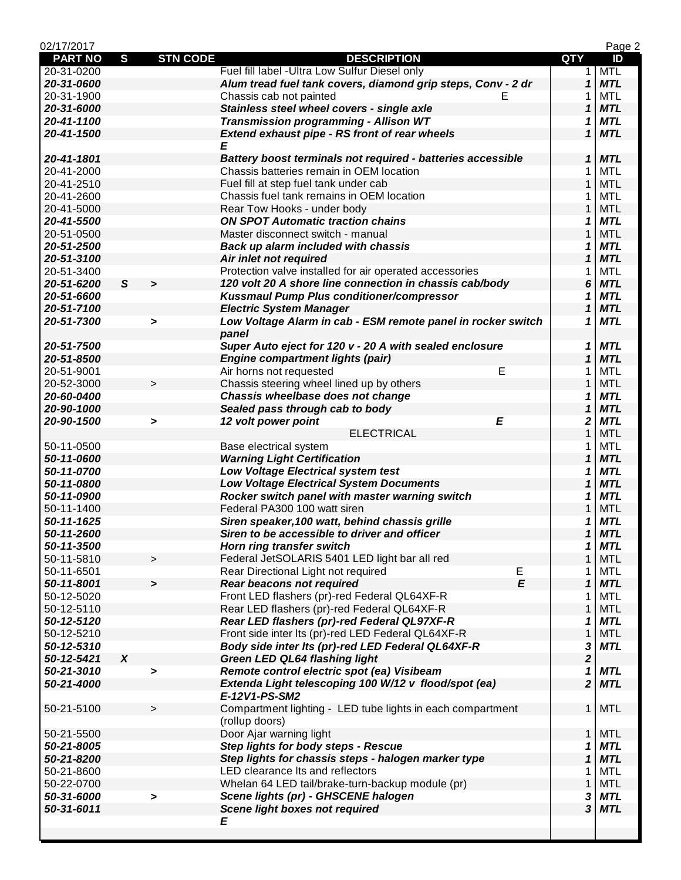| 02/17/2017     |                  |                       |                                                                                                         |                            | Page 2     |
|----------------|------------------|-----------------------|---------------------------------------------------------------------------------------------------------|----------------------------|------------|
| <b>PART NO</b> | $\mathbf{s}$     | <b>STN CODE</b>       | <b>DESCRIPTION</b>                                                                                      | <b>QTY</b>                 | ID         |
| 20-31-0200     |                  |                       | Fuel fill label - Ultra Low Sulfur Diesel only                                                          | 1                          | <b>MTL</b> |
| 20-31-0600     |                  |                       | Alum tread fuel tank covers, diamond grip steps, Conv - 2 dr                                            | $\mathbf{1}$               | <b>MTL</b> |
| 20-31-1900     |                  |                       | Chassis cab not painted<br>E                                                                            | 1                          | <b>MTL</b> |
| 20-31-6000     |                  |                       | Stainless steel wheel covers - single axle                                                              | 1                          | <b>MTL</b> |
| 20-41-1100     |                  |                       | Transmission programming - Allison WT                                                                   | 1                          | <b>MTL</b> |
| 20-41-1500     |                  |                       | <b>Extend exhaust pipe - RS front of rear wheels</b>                                                    | $\mathbf 1$                | <b>MTL</b> |
|                |                  |                       | Ε                                                                                                       |                            |            |
| 20-41-1801     |                  |                       | Battery boost terminals not required - batteries accessible                                             | $\boldsymbol{\mathcal{L}}$ | <b>MTL</b> |
| 20-41-2000     |                  |                       | Chassis batteries remain in OEM location                                                                | 1                          | MTL        |
| 20-41-2510     |                  |                       | Fuel fill at step fuel tank under cab                                                                   | $\mathbf{1}$               | <b>MTL</b> |
| 20-41-2600     |                  |                       | Chassis fuel tank remains in OEM location                                                               | 1                          | MTL        |
| 20-41-5000     |                  |                       | Rear Tow Hooks - under body                                                                             | 1                          | <b>MTL</b> |
| 20-41-5500     |                  |                       | <b>ON SPOT Automatic traction chains</b>                                                                | 1                          | <b>MTL</b> |
| 20-51-0500     |                  |                       | Master disconnect switch - manual                                                                       | 1                          | <b>MTL</b> |
| 20-51-2500     |                  |                       | <b>Back up alarm included with chassis</b>                                                              | 1                          | <b>MTL</b> |
| 20-51-3100     |                  |                       | Air inlet not required                                                                                  | 1                          | <b>MTL</b> |
| 20-51-3400     |                  |                       | Protection valve installed for air operated accessories                                                 | 1                          | MTL        |
| 20-51-6200     | $\mathsf{s}$     | $\geq$                | 120 volt 20 A shore line connection in chassis cab/body                                                 | 6                          | <b>MTL</b> |
| 20-51-6600     |                  |                       | Kussmaul Pump Plus conditioner/compressor                                                               | 1                          | <b>MTL</b> |
| 20-51-7100     |                  |                       | <b>Electric System Manager</b>                                                                          | 1                          | <b>MTL</b> |
| 20-51-7300     |                  | $\blacktriangleright$ | Low Voltage Alarm in cab - ESM remote panel in rocker switch                                            | 1                          | <b>MTL</b> |
|                |                  |                       | panel                                                                                                   |                            |            |
| 20-51-7500     |                  |                       | Super Auto eject for 120 v - 20 A with sealed enclosure                                                 | 1                          | <b>MTL</b> |
| 20-51-8500     |                  |                       | <b>Engine compartment lights (pair)</b>                                                                 | $\mathbf{1}$               | <b>MTL</b> |
| 20-51-9001     |                  |                       | E<br>Air horns not requested                                                                            | 1                          | <b>MTL</b> |
| 20-52-3000     |                  | $\geq$                | Chassis steering wheel lined up by others                                                               | $\mathbf{1}$               | <b>MTL</b> |
| 20-60-0400     |                  |                       | Chassis wheelbase does not change                                                                       | 1                          | <b>MTL</b> |
| 20-90-1000     |                  |                       | Sealed pass through cab to body                                                                         | 1                          | <b>MTL</b> |
| 20-90-1500     |                  | >                     | E<br>12 volt power point                                                                                | 2                          | <b>MTL</b> |
|                |                  |                       | <b>ELECTRICAL</b>                                                                                       | $\mathbf{1}$               | <b>MTL</b> |
| 50-11-0500     |                  |                       | Base electrical system                                                                                  | 1                          | <b>MTL</b> |
| 50-11-0600     |                  |                       | <b>Warning Light Certification</b>                                                                      | $\boldsymbol{\mathcal{L}}$ | <b>MTL</b> |
| 50-11-0700     |                  |                       | Low Voltage Electrical system test                                                                      | 1                          | <b>MTL</b> |
| 50-11-0800     |                  |                       | <b>Low Voltage Electrical System Documents</b>                                                          | $\mathbf 1$                | <b>MTL</b> |
| 50-11-0900     |                  |                       | Rocker switch panel with master warning switch                                                          | 1                          | <b>MTL</b> |
| 50-11-1400     |                  |                       | Federal PA300 100 watt siren                                                                            | 1                          | <b>MTL</b> |
| 50-11-1625     |                  |                       | Siren speaker, 100 watt, behind chassis grille                                                          | 1                          | <b>MTL</b> |
| 50-11-2600     |                  |                       | Siren to be accessible to driver and officer                                                            | $\mathbf{1}$               | <b>MTL</b> |
| 50-11-3500     |                  |                       | Horn ring transfer switch                                                                               | 1                          | <b>MTL</b> |
| 50-11-5810     |                  | $\,$                  | Federal JetSOLARIS 5401 LED light bar all red                                                           | $\mathbf{1}$               | <b>MTL</b> |
| 50-11-6501     |                  |                       | Rear Directional Light not required<br>Е                                                                | 1                          | <b>MTL</b> |
| 50-11-8001     |                  | $\geq$                | $\mathbf{E}$<br><b>Rear beacons not required</b>                                                        | $\mathbf{1}$               | <b>MTL</b> |
| 50-12-5020     |                  |                       | Front LED flashers (pr)-red Federal QL64XF-R                                                            | 1                          | <b>MTL</b> |
| 50-12-5110     |                  |                       | Rear LED flashers (pr)-red Federal QL64XF-R                                                             | $\mathbf{1}$               | <b>MTL</b> |
| 50-12-5120     |                  |                       | Rear LED flashers (pr)-red Federal QL97XF-R                                                             | 1                          | <b>MTL</b> |
| 50-12-5210     |                  |                       |                                                                                                         | 1                          | <b>MTL</b> |
| 50-12-5310     |                  |                       | Front side inter Its (pr)-red LED Federal QL64XF-R<br>Body side inter Its (pr)-red LED Federal QL64XF-R |                            | <b>MTL</b> |
|                | $\boldsymbol{X}$ |                       | <b>Green LED QL64 flashing light</b>                                                                    | 3                          |            |
| 50-12-5421     |                  |                       |                                                                                                         | $\overline{\mathbf{c}}$    |            |
| 50-21-3010     |                  | $\blacktriangleright$ | Remote control electric spot (ea) Visibeam                                                              | 1<br>$\overline{2}$        | <b>MTL</b> |
| 50-21-4000     |                  |                       | Extenda Light telescoping 100 W/12 v flood/spot (ea)                                                    |                            | <b>MTL</b> |
|                |                  |                       | E-12V1-PS-SM2                                                                                           |                            |            |
| 50-21-5100     |                  | $\, > \,$             | Compartment lighting - LED tube lights in each compartment                                              | $\mathbf{1}$               | <b>MTL</b> |
|                |                  |                       | (rollup doors)                                                                                          |                            |            |
| 50-21-5500     |                  |                       | Door Ajar warning light                                                                                 | $\mathbf 1$                | <b>MTL</b> |
| 50-21-8005     |                  |                       | Step lights for body steps - Rescue                                                                     | 1                          | <b>MTL</b> |
| 50-21-8200     |                  |                       | Step lights for chassis steps - halogen marker type                                                     | $\boldsymbol{\mathcal{L}}$ | <b>MTL</b> |
| 50-21-8600     |                  |                       | LED clearance Its and reflectors                                                                        | 1                          | <b>MTL</b> |
| 50-22-0700     |                  |                       | Whelan 64 LED tail/brake-turn-backup module (pr)                                                        | $\mathbf{1}$               | <b>MTL</b> |
| 50-31-6000     |                  | >                     | Scene lights (pr) - GHSCENE halogen                                                                     | 3                          | <b>MTL</b> |
| 50-31-6011     |                  |                       | <b>Scene light boxes not required</b>                                                                   | 3                          | <b>MTL</b> |
|                |                  |                       | Ε                                                                                                       |                            |            |
|                |                  |                       |                                                                                                         |                            |            |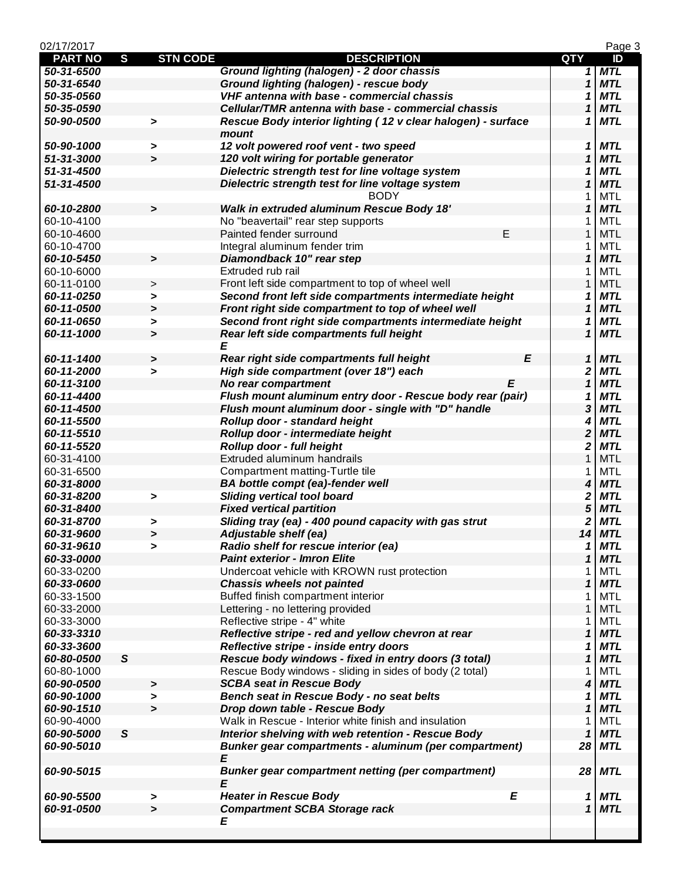| 02/17/2017     |                       |                                                              |                            | Page 3     |
|----------------|-----------------------|--------------------------------------------------------------|----------------------------|------------|
| <b>PART NO</b> | S                     | <b>STN CODE</b><br><b>DESCRIPTION</b>                        | <b>QTY</b>                 | ID         |
| 50-31-6500     |                       | Ground lighting (halogen) - 2 door chassis                   | 1                          | <b>MTL</b> |
| 50-31-6540     |                       | Ground lighting (halogen) - rescue body                      | $\mathbf 1$                | <b>MTL</b> |
| 50-35-0560     |                       | VHF antenna with base - commercial chassis                   | 1                          | <b>MTL</b> |
| 50-35-0590     |                       | Cellular/TMR antenna with base - commercial chassis          | 1                          | <b>MTL</b> |
| 50-90-0500     | >                     | Rescue Body interior lighting (12 v clear halogen) - surface | 1                          | <b>MTL</b> |
|                |                       | mount                                                        |                            |            |
| 50-90-1000     | >                     | 12 volt powered roof vent - two speed                        | 1                          | <b>MTL</b> |
| 51-31-3000     | $\rightarrow$         | 120 volt wiring for portable generator                       | 1                          | <b>MTL</b> |
| 51-31-4500     |                       | Dielectric strength test for line voltage system             | 1                          | <b>MTL</b> |
| 51-31-4500     |                       | Dielectric strength test for line voltage system             | $\mathbf{1}$               | <b>MTL</b> |
|                |                       | <b>BODY</b>                                                  | 1                          | <b>MTL</b> |
| 60-10-2800     | >                     | <b>Walk in extruded aluminum Rescue Body 18'</b>             | 1                          | <b>MTL</b> |
| 60-10-4100     |                       | No "beavertail" rear step supports                           | 1                          | <b>MTL</b> |
| 60-10-4600     |                       | Ε<br>Painted fender surround                                 | 1                          | <b>MTL</b> |
| 60-10-4700     |                       | Integral aluminum fender trim                                | 1                          | <b>MTL</b> |
| 60-10-5450     | >                     | Diamondback 10" rear step                                    | 1                          | <b>MTL</b> |
| 60-10-6000     |                       | Extruded rub rail                                            | 1                          | <b>MTL</b> |
| 60-11-0100     | $\,$                  | Front left side compartment to top of wheel well             | 1                          | <b>MTL</b> |
| 60-11-0250     | >                     | Second front left side compartments intermediate height      | 1                          | <b>MTL</b> |
| 60-11-0500     | >                     | Front right side compartment to top of wheel well            | 1                          | <b>MTL</b> |
| 60-11-0650     | >                     | Second front right side compartments intermediate height     | 1                          | <b>MTL</b> |
| 60-11-1000     | >                     | Rear left side compartments full height                      | 1                          | <b>MTL</b> |
|                |                       | E                                                            |                            |            |
| 60-11-1400     | $\blacktriangleright$ | E<br>Rear right side compartments full height                | 1                          | <b>MTL</b> |
| 60-11-2000     | $\geq$                | High side compartment (over 18") each                        | 2                          | <b>MTL</b> |
| 60-11-3100     |                       | No rear compartment<br>F                                     | $\mathbf{1}$               | <b>MTL</b> |
| 60-11-4400     |                       | Flush mount aluminum entry door - Rescue body rear (pair)    | 1                          | <b>MTL</b> |
| 60-11-4500     |                       | Flush mount aluminum door - single with "D" handle           | 3                          | <b>MTL</b> |
| 60-11-5500     |                       | Rollup door - standard height                                | 4                          | <b>MTL</b> |
| 60-11-5510     |                       | Rollup door - intermediate height                            | $\mathbf{2}$               | <b>MTL</b> |
| 60-11-5520     |                       | Rollup door - full height                                    | 2                          | <b>MTL</b> |
| 60-31-4100     |                       | Extruded aluminum handrails                                  | $\mathbf{1}$               | <b>MTL</b> |
| 60-31-6500     |                       | Compartment matting-Turtle tile                              | 1                          | <b>MTL</b> |
| 60-31-8000     |                       | BA bottle compt (ea)-fender well                             | 4                          | <b>MTL</b> |
| 60-31-8200     | >                     | <b>Sliding vertical tool board</b>                           | 2                          | <b>MTL</b> |
| 60-31-8400     |                       | <b>Fixed vertical partition</b>                              | 5                          | <b>MTL</b> |
| 60-31-8700     | >                     | Sliding tray (ea) - 400 pound capacity with gas strut        | 2                          | <b>MTL</b> |
| 60-31-9600     | >                     | <b>Adjustable shelf (ea)</b>                                 | 14                         | <b>MTL</b> |
| 60-31-9610     | >                     | Radio shelf for rescue interior (ea)                         | 1                          | MTL        |
| 60-33-0000     |                       | <b>Paint exterior - Imron Elite</b>                          | 1                          | <b>MTL</b> |
| 60-33-0200     |                       | Undercoat vehicle with KROWN rust protection                 | 1                          | <b>MTL</b> |
| 60-33-0600     |                       | <b>Chassis wheels not painted</b>                            | 1                          | <b>MTL</b> |
| 60-33-1500     |                       | Buffed finish compartment interior                           | 1                          | <b>MTL</b> |
| 60-33-2000     |                       | Lettering - no lettering provided                            | 1                          | <b>MTL</b> |
| 60-33-3000     |                       | Reflective stripe - 4" white                                 | 1                          | <b>MTL</b> |
| 60-33-3310     |                       | Reflective stripe - red and yellow chevron at rear           | 1                          | <b>MTL</b> |
| 60-33-3600     |                       | Reflective stripe - inside entry doors                       | 1                          | <b>MTL</b> |
| 60-80-0500     | ${\mathcal S}$        | Rescue body windows - fixed in entry doors (3 total)         | $\boldsymbol{\mathcal{L}}$ | <b>MTL</b> |
| 60-80-1000     |                       | Rescue Body windows - sliding in sides of body (2 total)     | 1                          | <b>MTL</b> |
| 60-90-0500     | >                     | <b>SCBA seat in Rescue Body</b>                              | 4                          | <b>MTL</b> |
| 60-90-1000     | >                     | Bench seat in Rescue Body - no seat belts                    | 1                          | <b>MTL</b> |
| 60-90-1510     | $\geq$                | Drop down table - Rescue Body                                | 1                          | <b>MTL</b> |
| 60-90-4000     |                       | Walk in Rescue - Interior white finish and insulation        | 1                          | <b>MTL</b> |
| 60-90-5000     | S                     | Interior shelving with web retention - Rescue Body           | 1                          | <b>MTL</b> |
| 60-90-5010     |                       | Bunker gear compartments - aluminum (per compartment)        | 28                         | <b>MTL</b> |
|                |                       | E                                                            |                            |            |
| 60-90-5015     |                       | <b>Bunker gear compartment netting (per compartment)</b>     | 28                         | <b>MTL</b> |
|                |                       | E                                                            |                            |            |
| 60-90-5500     | >                     | <b>Heater in Rescue Body</b><br>E                            | 1                          | <b>MTL</b> |
| 60-91-0500     | $\geq$                | <b>Compartment SCBA Storage rack</b>                         | 1                          | <b>MTL</b> |
|                |                       | Ε                                                            |                            |            |
|                |                       |                                                              |                            |            |